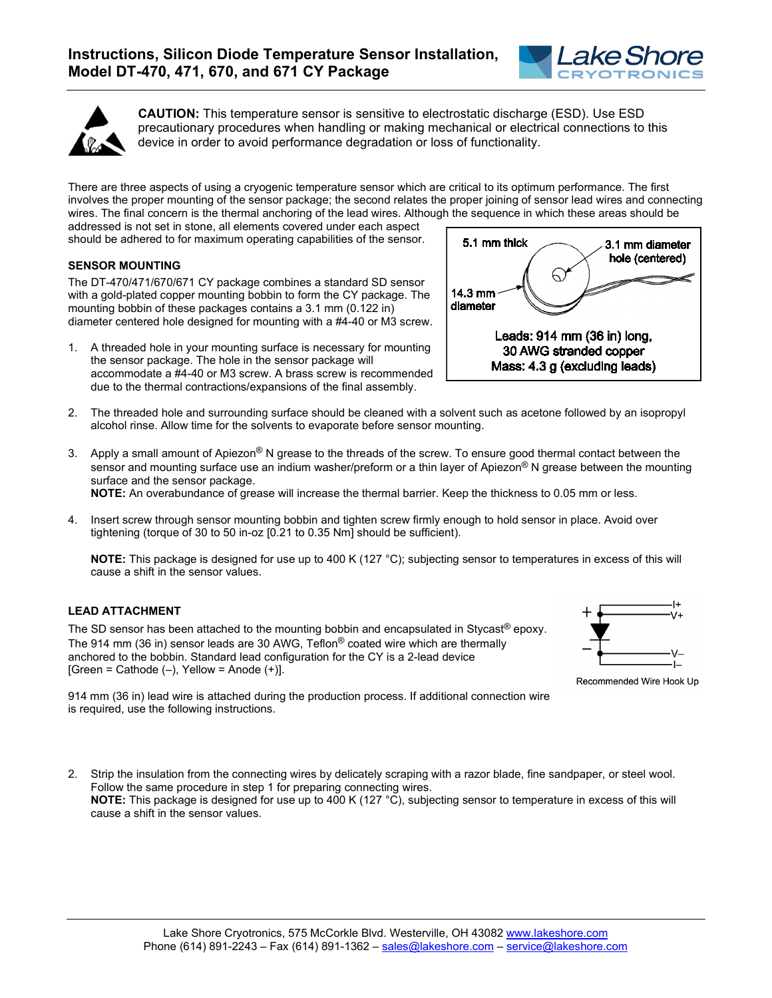



**CAUTION:** This temperature sensor is sensitive to electrostatic discharge (ESD). Use ESD precautionary procedures when handling or making mechanical or electrical connections to this device in order to avoid performance degradation or loss of functionality.

There are three aspects of using a cryogenic temperature sensor which are critical to its optimum performance. The first involves the proper mounting of the sensor package; the second relates the proper joining of sensor lead wires and connecting wires. The final concern is the thermal anchoring of the lead wires. Although the sequence in which these areas should be

addressed is not set in stone, all elements covered under each aspect should be adhered to for maximum operating capabilities of the sensor.

## **SENSOR MOUNTING**

The DT-470/471/670/671 CY package combines a standard SD sensor with a gold-plated copper mounting bobbin to form the CY package. The mounting bobbin of these packages contains a 3.1 mm (0.122 in) diameter centered hole designed for mounting with a #4-40 or M3 screw.

1. A threaded hole in your mounting surface is necessary for mounting the sensor package. The hole in the sensor package will accommodate a #4-40 or M3 screw. A brass screw is recommended due to the thermal contractions/expansions of the final assembly.



- 2. The threaded hole and surrounding surface should be cleaned with a solvent such as acetone followed by an isopropyl alcohol rinse. Allow time for the solvents to evaporate before sensor mounting.
- 3. Apply a small amount of Apiezon<sup>®</sup> N grease to the threads of the screw. To ensure good thermal contact between the sensor and mounting surface use an indium washer/preform or a thin layer of Apiezon<sup>®</sup> N grease between the mounting surface and the sensor package.

**NOTE:** An overabundance of grease will increase the thermal barrier. Keep the thickness to 0.05 mm or less.

4. Insert screw through sensor mounting bobbin and tighten screw firmly enough to hold sensor in place. Avoid over tightening (torque of 30 to 50 in-oz [0.21 to 0.35 Nm] should be sufficient).

**NOTE:** This package is designed for use up to 400 K (127 °C); subjecting sensor to temperatures in excess of this will cause a shift in the sensor values.

## **LEAD ATTACHMENT**

The SD sensor has been attached to the mounting bobbin and encapsulated in Stycast® epoxy. The 914 mm (36 in) sensor leads are 30 AWG, Teflon® coated wire which are thermally anchored to the bobbin. Standard lead configuration for the CY is a 2-lead device  $[Green = Catholic (-), Yellow = Anode (+)].$ 



Recommended Wire Hook Up

914 mm (36 in) lead wire is attached during the production process. If additional connection wire is required, use the following instructions.

2. Strip the insulation from the connecting wires by delicately scraping with a razor blade, fine sandpaper, or steel wool. Follow the same procedure in step 1 for preparing connecting wires. **NOTE:** This package is designed for use up to 400 K (127 °C), subjecting sensor to temperature in excess of this will cause a shift in the sensor values.